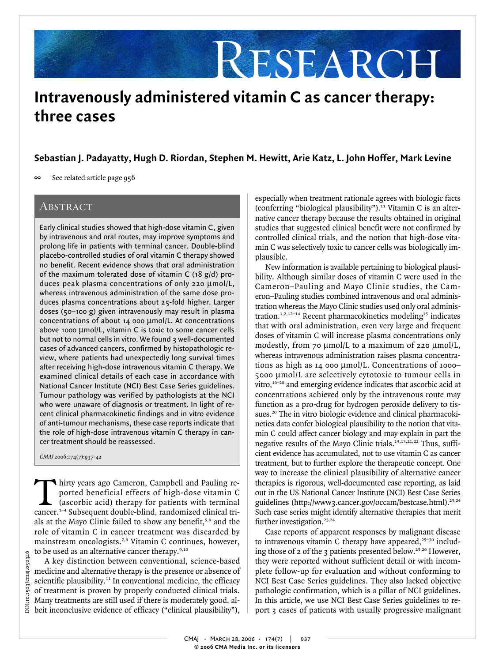# RESEARCH

## **Intravenously administered vitamin C as cancer therapy: three cases**

See related article page 956

#### **ABSTRACT**

Early clinical studies showed that high-dose vitamin C, given by intravenous and oral routes, may improve symptoms and prolong life in patients with terminal cancer. Double-blind placebo-controlled studies of oral vitamin C therapy showed no benefit. Recent evidence shows that oral administration of the maximum tolerated dose of vitamin C (18 g/d) produces peak plasma concentrations of only 220 µmol/L, whereas intravenous administration of the same dose produces plasma concentrations about 25-fold higher. Larger doses (50–100 g) given intravenously may result in plasma concentrations of about 14 000 µmol/L. At concentrations above 1000 µmol/L, vitamin C is toxic to some cancer cells but not to normal cells in vitro. We found 3 well-documented cases of advanced cancers, confirmed by histopathologic review, where patients had unexpectedly long survival times after receiving high-dose intravenous vitamin C therapy. We examined clinical details of each case in accordance with National Cancer Institute (NCI) Best Case Series guidelines. Tumour pathology was verified by pathologists at the NCI who were unaware of diagnosis or treatment. In light of recent clinical pharmacokinetic findings and in vitro evidence of anti-tumour mechanisms, these case reports indicate that the role of high-dose intravenous vitamin C therapy in cancer treatment should be reassessed.

CMAJ 2006;174(7):937-42

hirty years ago Cameron, Campbell and Pauling re-<br>ported beneficial effects of high-dose vitamin C<br>(ascorbic acid) therapy for patients with terminal<br>cancer <sup>1-4</sup> Subsequent double-blind, randomized clinical triported beneficial effects of high-dose vitamin C (ascorbic acid) therapy for patients with terminal cancer.1–4 Subsequent double-blind, randomized clinical trials at the Mayo Clinic failed to show any benefit,<sup>5,6</sup> and the role of vitamin C in cancer treatment was discarded by mainstream oncologists.7,8 Vitamin C continues, however, to be used as an alternative cancer therapy.<sup>9,10</sup>

A key distinction between conventional, science-based medicine and alternative therapy is the presence or absence of scientific plausibility.<sup>11</sup> In conventional medicine, the efficacy of treatment is proven by properly conducted clinical trials. Many treatments are still used if there is moderately good, al- $\frac{1}{8}$  beit inconclusive evidence of efficacy ("clinical plausibility"),

especially when treatment rationale agrees with biologic facts (conferring "biological plausibility").<sup>11</sup> Vitamin C is an alternative cancer therapy because the results obtained in original studies that suggested clinical benefit were not confirmed by controlled clinical trials, and the notion that high-dose vitamin C was selectively toxic to cancer cells was biologically implausible.

New information is available pertaining to biological plausibility. Although similar doses of vitamin C were used in the Cameron–Pauling and Mayo Clinic studies, the Cameron–Pauling studies combined intravenous and oral administration whereas the Mayo Clinic studies used only oral administration.<sup>1,2,12–14</sup> Recent pharmacokinetics modeling<sup>15</sup> indicates that with oral administration, even very large and frequent doses of vitamin C will increase plasma concentrations only modestly, from 70 µmol/L to a maximum of 220 µmol/L, whereas intravenous administration raises plasma concentrations as high as 14 000 µmol/L. Concentrations of 1000– 5000 µmol/L are selectively cytotoxic to tumour cells in vitro,<sup>16–20</sup> and emerging evidence indicates that ascorbic acid at concentrations achieved only by the intravenous route may function as a pro-drug for hydrogen peroxide delivery to tissues.<sup>20</sup> The in vitro biologic evidence and clinical pharmacokinetics data confer biological plausibility to the notion that vitamin C could affect cancer biology and may explain in part the negative results of the Mayo Clinic trials.<sup>13,15,21,22</sup> Thus, sufficient evidence has accumulated, not to use vitamin C as cancer treatment, but to further explore the therapeutic concept. One way to increase the clinical plausibility of alternative cancer therapies is rigorous, well-documented case reporting, as laid out in the US National Cancer Institute (NCI) Best Case Series guidelines (http://www3.cancer.gov/occam/bestcase.html).<sup>23,24</sup> Such case series might identify alternative therapies that merit further investigation.<sup>23,24</sup> **Sebastian J. Padayatty, Hugh D. Riordan, Stephen M. Hewitt, Arie Katz, L. John Hoffer, Mark Levine<br>
Several distribution (see the contribution scheme with hidroget interaction with the set of the contribution scheme with** 

Case reports of apparent responses by malignant disease to intravenous vitamin C therapy have appeared, $25-30$  including those of 2 of the 3 patients presented below.<sup>25,26</sup> However, they were reported without sufficient detail or with incomplete follow-up for evaluation and without conforming to NCI Best Case Series guidelines. They also lacked objective pathologic confirmation, which is a pillar of NCI guidelines. In this article, we use NCI Best Case Series guidelines to report 3 cases of patients with usually progressive malignant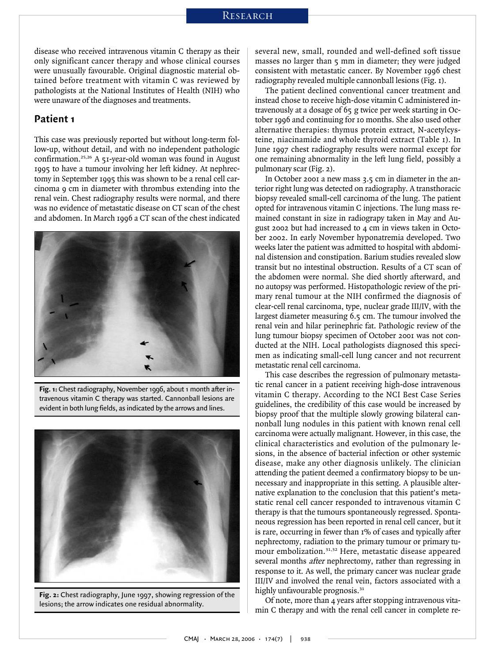disease who received intravenous vitamin C therapy as their only significant cancer therapy and whose clinical courses were unusually favourable. Original diagnostic material obtained before treatment with vitamin C was reviewed by pathologists at the National Institutes of Health (NIH) who were unaware of the diagnoses and treatments.

#### **Patient 1**

This case was previously reported but without long-term follow-up, without detail, and with no independent pathologic confirmation.25,26 A 51-year-old woman was found in August 1995 to have a tumour involving her left kidney. At nephrectomy in September 1995 this was shown to be a renal cell carcinoma 9 cm in diameter with thrombus extending into the renal vein. Chest radiography results were normal, and there was no evidence of metastatic disease on CT scan of the chest and abdomen. In March 1996 a CT scan of the chest indicated



**Fig. 1:** Chest radiography, November 1996, about 1 month after intravenous vitamin C therapy was started. Cannonball lesions are evident in both lung fields, as indicated by the arrows and lines.



**Fig. 2:** Chest radiography, June 1997, showing regression of the lesions; the arrow indicates one residual abnormality.

several new, small, rounded and well-defined soft tissue masses no larger than  $\varsigma$  mm in diameter; they were judged consistent with metastatic cancer. By November 1996 chest radiography revealed multiple cannonball lesions (Fig. 1).

The patient declined conventional cancer treatment and instead chose to receive high-dose vitamin C administered intravenously at a dosage of 65 g twice per week starting in October 1996 and continuing for 10 months. She also used other alternative therapies: thymus protein extract, N-acetylcysteine, niacinamide and whole thyroid extract (Table 1). In June 1997 chest radiography results were normal except for one remaining abnormality in the left lung field, possibly a pulmonary scar (Fig. 2).

In October 2001 a new mass 3.5 cm in diameter in the anterior right lung was detected on radiography. A transthoracic biopsy revealed small-cell carcinoma of the lung. The patient opted for intravenous vitamin C injections. The lung mass remained constant in size in radiograpy taken in May and August 2002 but had increased to 4 cm in views taken in October 2002. In early November hyponatremia developed. Two weeks later the patient was admitted to hospital with abdominal distension and constipation. Barium studies revealed slow transit but no intestinal obstruction. Results of a CT scan of the abdomen were normal. She died shortly afterward, and no autopsy was performed. Histopathologic review of the primary renal tumour at the NIH confirmed the diagnosis of clear-cell renal carcinoma, type, nuclear grade III/IV, with the largest diameter measuring 6.5 cm. The tumour involved the renal vein and hilar perinephric fat. Pathologic review of the lung tumour biopsy specimen of October 2001 was not conducted at the NIH. Local pathologists diagnosed this specimen as indicating small-cell lung cancer and not recurrent metastatic renal cell carcinoma.

This case describes the regression of pulmonary metastatic renal cancer in a patient receiving high-dose intravenous vitamin C therapy. According to the NCI Best Case Series guidelines, the credibility of this case would be increased by biopsy proof that the multiple slowly growing bilateral cannonball lung nodules in this patient with known renal cell carcinoma were actually malignant. However, in this case, the clinical characteristics and evolution of the pulmonary lesions, in the absence of bacterial infection or other systemic disease, make any other diagnosis unlikely. The clinician attending the patient deemed a confirmatory biopsy to be unnecessary and inappropriate in this setting. A plausible alternative explanation to the conclusion that this patient's metastatic renal cell cancer responded to intravenous vitamin C therapy is that the tumours spontaneously regressed. Spontaneous regression has been reported in renal cell cancer, but it is rare, occurring in fewer than 1% of cases and typically after nephrectomy, radiation to the primary tumour or primary tumour embolization.31,32 Here, metastatic disease appeared several months *after* nephrectomy, rather than regressing in response to it. As well, the primary cancer was nuclear grade III/IV and involved the renal vein, factors associated with a highly unfavourable prognosis.<sup>31</sup>

Of note, more than 4 years after stopping intravenous vitamin C therapy and with the renal cell cancer in complete re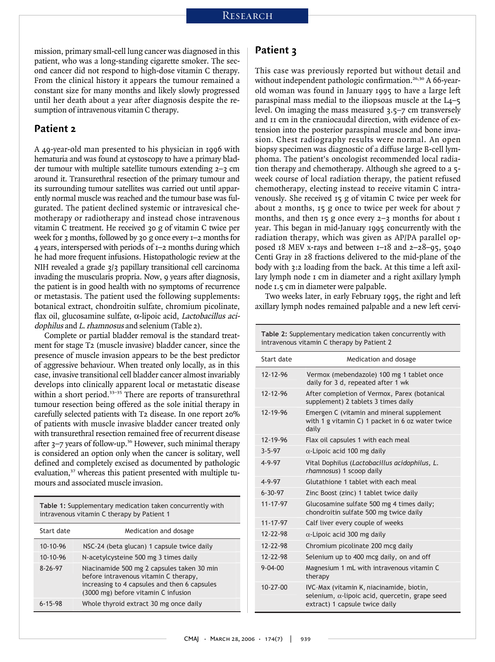mission, primary small-cell lung cancer was diagnosed in this patient, who was a long-standing cigarette smoker. The second cancer did not respond to high-dose vitamin C therapy. From the clinical history it appears the tumour remained a constant size for many months and likely slowly progressed until her death about a year after diagnosis despite the resumption of intravenous vitamin C therapy.

#### **Patient 2**

A 49-year-old man presented to his physician in 1996 with hematuria and was found at cystoscopy to have a primary bladder tumour with multiple satellite tumours extending 2–3 cm around it. Transurethral resection of the primary tumour and its surrounding tumour satellites was carried out until apparently normal muscle was reached and the tumour base was fulgurated. The patient declined systemic or intravesical chemotherapy or radiotherapy and instead chose intravenous vitamin C treatment. He received 30 g of vitamin C twice per week for 3 months, followed by 30 g once every 1–2 months for 4 years, interspersed with periods of 1–2 months during which he had more frequent infusions. Histopathologic review at the NIH revealed a grade 3/3 papillary transitional cell carcinoma invading the muscularis propria. Now, 9 years after diagnosis, the patient is in good health with no symptoms of recurrence or metastasis. The patient used the following supplements: botanical extract, chondroitin sulfate, chromium picolinate, flax oil, glucosamine sulfate, α-lipoic acid, Lactobacillus acidophilus and L. rhamnosus and selenium (Table 2).

Complete or partial bladder removal is the standard treatment for stage T2 (muscle invasive) bladder cancer, since the presence of muscle invasion appears to be the best predictor of aggressive behaviour. When treated only locally, as in this case, invasive transitional cell bladder cancer almost invariably develops into clinically apparent local or metastatic disease within a short period.<sup>33-35</sup> There are reports of transurethral tumour resection being offered as the sole initial therapy in carefully selected patients with T2 disease. In one report 20% of patients with muscle invasive bladder cancer treated only with transurethral resection remained free of recurrent disease after  $3$ –7 years of follow-up.<sup>36</sup> However, such minimal therapy is considered an option only when the cancer is solitary, well defined and completely excised as documented by pathologic evaluation,<sup>37</sup> whereas this patient presented with multiple tumours and associated muscle invasion. resence of muscle invasion appears to the f aggressive behaviour. When treated on<br>see, invasive transitional cell bladder can<br>evelops into clinically apparent local of<br>ithin a short period.<sup>33–35</sup> There are repo<br>incour res

**Table 1:** Supplementary medication taken concurrently with

| Start date    | Medication and dosage                                                                                                                                                      |
|---------------|----------------------------------------------------------------------------------------------------------------------------------------------------------------------------|
| $10-10-96$    | NSC-24 (beta glucan) 1 capsule twice daily                                                                                                                                 |
| $10-10-96$    | N-acetylcysteine 500 mg 3 times daily                                                                                                                                      |
| $8 - 26 - 97$ | Niacinamide 500 mg 2 capsules taken 30 min<br>before intravenous vitamin C therapy,<br>increasing to 4 capsules and then 6 capsules<br>(3000 mg) before vitamin C infusion |
| $6 - 15 - 98$ | Whole thyroid extract 30 mg once daily                                                                                                                                     |

#### **Patient 3**

This case was previously reported but without detail and without independent pathologic confirmation.<sup>26,30</sup> A 66-yearold woman was found in January 1995 to have a large left paraspinal mass medial to the iliopsoas muscle at the L4–5 level. On imaging the mass measured 3.5–7 cm transversely and 11 cm in the craniocaudal direction, with evidence of extension into the posterior paraspinal muscle and bone invasion. Chest radiography results were normal. An open biopsy specimen was diagnostic of a diffuse large B-cell lymphoma. The patient's oncologist recommended local radiation therapy and chemotherapy. Although she agreed to a 5 week course of local radiation therapy, the patient refused chemotherapy, electing instead to receive vitamin C intravenously. She received 15 g of vitamin C twice per week for about 2 months, 15 g once to twice per week for about 7 months, and then 15 g once every 2-3 months for about 1 year. This began in mid-January 1995 concurrently with the radiation therapy, which was given as AP/PA parallel opposed 18 MEV x-rays and between 1–18 and 2–28–95, 5040 Centi Gray in 28 fractions delivered to the mid-plane of the body with 3:2 loading from the back. At this time a left axillary lymph node 1 cm in diameter and a right axillary lymph node 1.5 cm in diameter were palpable. eek course of local radiation therapy,<br>hemotherapy, electing instead to recei<br>mously. She received 15 g of vitamin C<br>oout 2 months, 15 g once to twice pe<br>onths, and then 15 g once every 2–3 j<br>ar. This began in mid-January

Two weeks later, in early February 1995, the right and left axillary lymph nodes remained palpable and a new left cervi-

**Table 2:** Supplementary medication taken concurrently with

| intravenous vitamin C therapy by Patient 2 |                                                                                                                                      |  |
|--------------------------------------------|--------------------------------------------------------------------------------------------------------------------------------------|--|
| Start date                                 | Medication and dosage                                                                                                                |  |
| $12 - 12 - 96$                             | Vermox (mebendazole) 100 mg 1 tablet once<br>daily for 3 d, repeated after 1 wk                                                      |  |
| $12 - 12 - 96$                             | After completion of Vermox, Parex (botanical<br>supplement) 2 tablets 3 times daily                                                  |  |
| 12-19-96                                   | Emergen C (vitamin and mineral supplement<br>with 1 g vitamin C) 1 packet in 6 oz water twice<br>daily                               |  |
| 12-19-96                                   | Flax oil capsules 1 with each meal                                                                                                   |  |
| $3 - 5 - 97$                               | $\alpha$ -Lipoic acid 100 mg daily                                                                                                   |  |
| $4 - 9 - 97$                               | Vital Dophilus (Lactobacillus acidophilus, L.<br>rhamnosus) 1 scoop daily                                                            |  |
| $4 - 9 - 97$                               | Glutathione 1 tablet with each meal                                                                                                  |  |
| $6 - 30 - 97$                              | Zinc Boost (zinc) 1 tablet twice daily                                                                                               |  |
| 11-17-97                                   | Glucosamine sulfate 500 mg 4 times daily;<br>chondroitin sulfate 500 mg twice daily                                                  |  |
| 11-17-97                                   | Calf liver every couple of weeks                                                                                                     |  |
| 12-22-98                                   | $\alpha$ -Lipoic acid 300 mg daily                                                                                                   |  |
| $12 - 22 - 98$                             | Chromium picolinate 200 mcg daily                                                                                                    |  |
| $12 - 22 - 98$                             | Selenium up to 400 mcg daily, on and off                                                                                             |  |
| $9 - 04 - 00$                              | Magnesium 1 mL with intravenous vitamin C<br>therapy                                                                                 |  |
| $10-27-00$                                 | IVC-Max (vitamin K, niacinamide, biotin,<br>selenium, $\alpha$ -lipoic acid, quercetin, grape seed<br>extract) 1 capsule twice daily |  |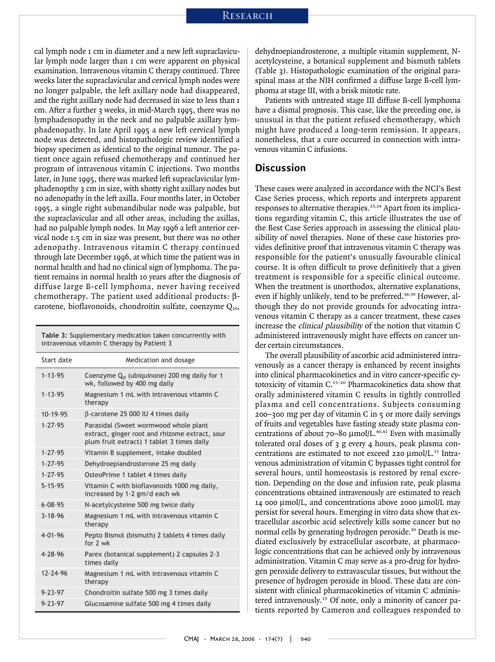cal lymph node 1 cm in diameter and a new left supraclavicular lymph node larger than 1 cm were apparent on physical examination. Intravenous vitamin C therapy continued. Three weeks later the supraclavicular and cervical lymph nodes were no longer palpable, the left axillary node had disappeared, and the right axillary node had decreased in size to less than 1 cm. After a further 3 weeks, in mid-March 1995, there was no lymphadenopathy in the neck and no palpable axillary lymphadenopathy. In late April 1995 a new left cervical lymph node was detected, and histopathologic review identified a biopsy specimen as identical to the original tumour. The patient once again refused chemotherapy and continued her program of intravenous vitamin C injections. Two months later, in June 1995, there was marked left supraclavicular lymphadenopthy 3 cm in size, with shotty right axillary nodes but no adenopathy in the left axilla. Four months later, in October 1995, a single right submandibular node was palpable, but the supraclavicular and all other areas, including the axillas, had no palpable lymph nodes. In May 1996 a left anterior cervical node 1.5 cm in size was present, but there was no other adenopathy. Intravenous vitamin C therapy continued through late December 1996, at which time the patient was in normal health and had no clinical sign of lymphoma. The patient remains in normal health 10 years after the diagnosis of diffuse large B-cell lymphoma, never having received chemotherapy. The patient used additional products: βcarotene, bioflavonoids, chondroitin sulfate, coenzyme  $Q_{10}$ , Example 1995, the two manufactured cents<br>adenopthy 3 cm in size, with shotty right adenopathy in the left axilla. Four mon<br>95, a single right submandibular node<br>e supraclavicular and all other areas, in<br>d no palpable lymp e supraclavicular and all other areas, including the axid no palpable lymph nodes. In May 1996 a left anterior<br>cal node 1.5 cm in size was present, but there was no c<br>lenopathy. Intravenous vitamin C therapy contin<br>rough

**Table 3:** Supplementary medication taken concurrently with

| Start date     | Medication and dosage                                                                                                                 |
|----------------|---------------------------------------------------------------------------------------------------------------------------------------|
| $1 - 13 - 95$  | Coenzyme $Q_{10}$ (ubiquinone) 200 mg daily for 1<br>wk, followed by 400 mg daily                                                     |
| $1 - 13 - 95$  | Magnesium 1 mL with intravenous vitamin C<br>therapy                                                                                  |
| 10-19-95       | B-carotene 25 000 IU 4 times daily                                                                                                    |
| $1 - 27 - 95$  | Parasidal (Sweet wormwood whole plant<br>extract, ginger root and rhizome extract, sour<br>plum fruit extract) 1 tablet 3 times daily |
| $1 - 27 - 95$  | Vitamin B supplement, intake doubled                                                                                                  |
| $1 - 27 - 95$  | Dehydroepiandrosterone 25 mg daily                                                                                                    |
| $1 - 27 - 95$  | OsteoPrime 1 tablet 4 times daily                                                                                                     |
| $5 - 15 - 95$  | Vitamin C with bioflavonoids 1000 mg daily,<br>increased by 1-2 gm/d each wk                                                          |
| $6 - 08 - 95$  | N-acetylcysteine 500 mg twice daily                                                                                                   |
| $3 - 18 - 96$  | Magnesium 1 mL with intravenous vitamin C<br>therapy                                                                                  |
| $4 - 01 - 96$  | Pepto Bismol (bismuth) 2 tablets 4 times daily<br>for 7 wk                                                                            |
| $4 - 78 - 96$  | Parex (botanical supplement) 2 capsules 2-3<br>times daily                                                                            |
| $12 - 24 - 96$ | Magnesium 1 mL with intravenous vitamin C<br>therapy                                                                                  |
| $9 - 23 - 97$  | Chondroitin sulfate 500 mg 3 times daily                                                                                              |
| $9 - 23 - 97$  | Glucosamine sulfate 500 mg 4 times daily                                                                                              |

dehydroepiandrosterone, a multiple vitamin supplement, Nacetylcysteine, a botanical supplement and bismuth tablets (Table 3). Histopathologic examination of the original paraspinal mass at the NIH confirmed a diffuse large B-cell lymphoma at stage III, with a brisk mitotic rate.

Patients with untreated stage III diffuse B-cell lymphoma have a dismal prognosis. This case, like the preceding one, is unusual in that the patient refused chemotherapy, which might have produced a long-term remission. It appears, nonetheless, that a cure occurred in connection with intravenous vitamin C infusions.

#### **Discussion**

These cases were analyzed in accordance with the NCI's Best Case Series process, which reports and interprets apparent responses to alternative therapies.<sup>23,24</sup> Apart from its implications regarding vitamin C, this article illustrates the use of the Best Case Series approach in assessing the clinical plausibility of novel therapies. None of these case histories provides definitive proof that intravenous vitamin C therapy was responsible for the patient's unusually favourable clinical course. It is often difficult to prove definitively that a given treatment is responsible for a specific clinical outcome. When the treatment is unorthodox, alternative explanations, even if highly unlikely, tend to be preferred.<sup>38,39</sup> However, although they do not provide grounds for advocating intravenous vitamin C therapy as a cancer treatment, these cases increase the clinical plausibility of the notion that vitamin C administered intravenously might have effects on cancer under certain circumstances.

The overall plausibility of ascorbic acid administered intravenously as a cancer therapy is enhanced by recent insights into clinical pharmacokinetics and in vitro cancer-specific cytotoxicity of vitamin C.15–20 Pharmacokinetics data show that orally administered vitamin C results in tightly controlled plasma and cell concentrations. Subjects consuming 200–300 mg per day of vitamin C in  $\zeta$  or more daily servings of fruits and vegetables have fasting steady state plasma concentrations of about 70–80 µmol/L.<sup>40,41</sup> Even with maximally tolerated oral doses of 3 g every 4 hours, peak plasma concentrations are estimated to not exceed 220 µmol/L.<sup>15</sup> Intravenous administration of vitamin C bypasses tight control for several hours, until homeostasis is restored by renal excretion. Depending on the dose and infusion rate, peak plasma concentrations obtained intravenously are estimated to reach 14 000 µmol/L, and concentrations above 2000 µmol/L may persist for several hours. Emerging in vitro data show that extracellular ascorbic acid selectively kills some cancer but no normal cells by generating hydrogen peroxide.<sup>20</sup> Death is mediated exclusively by extracellular ascorbate, at pharmacologic concentrations that can be achieved only by intravenous administration. Vitamin C may serve as a pro-drug for hydrogen peroxide delivery to extravascular tissues, but without the presence of hydrogen peroxide in blood. These data are consistent with clinical pharmacokinetics of vitamin C administered intravenously.<sup>15</sup> Of note, only a minority of cancer patients reported by Cameron and colleagues responded to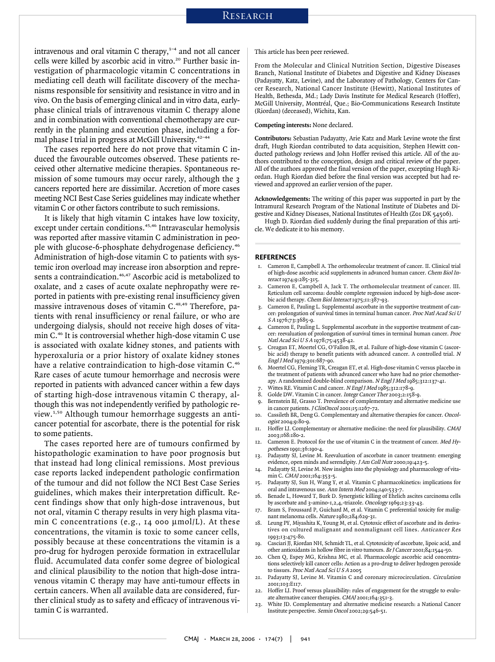#### **RESEARCH**

intravenous and oral vitamin C therapy, $1-4$  and not all cancer cells were killed by ascorbic acid in vitro.<sup>20</sup> Further basic investigation of pharmacologic vitamin C concentrations in mediating cell death will facilitate discovery of the mechanisms responsible for sensitivity and resistance in vitro and in vivo. On the basis of emerging clinical and in vitro data, earlyphase clinical trials of intravenous vitamin C therapy alone and in combination with conventional chemotherapy are currently in the planning and execution phase, including a formal phase I trial in progress at McGill University.<sup>42-44</sup>

The cases reported here do not prove that vitamin C induced the favourable outcomes observed. These patients received other alternative medicine therapies. Spontaneous remission of some tumours may occur rarely, although the 3 cancers reported here are dissimilar. Accretion of more cases meeting NCI Best Case Series guidelines may indicate whether vitamin C or other factors contribute to such remissions.

It is likely that high vitamin C intakes have low toxicity, except under certain conditions.<sup>45,46</sup> Intravascular hemolysis was reported after massive vitamin C administration in people with glucose-6-phosphate dehydrogenase deficiency.<sup>46</sup> Administration of high-dose vitamin C to patients with systemic iron overload may increase iron absorption and represents a contraindication.<sup>46,47</sup> Ascorbic acid is metabolized to oxalate, and 2 cases of acute oxalate nephropathy were reported in patients with pre-existing renal insufficiency given massive intravenous doses of vitamin C.<sup>48,49</sup> Therefore, patients with renal insufficiency or renal failure, or who are undergoing dialysis, should not receive high doses of vitamin C.<sup>46</sup> It is controversial whether high-dose vitamin C use is associated with oxalate kidney stones, and patients with hyperoxaluria or a prior history of oxalate kidney stones have a relative contraindication to high-dose vitamin C.<sup>46</sup> Rare cases of acute tumour hemorrhage and necrosis were reported in patients with advanced cancer within a few days of starting high-dose intravenous vitamin C therapy, although this was not independently verified by pathologic review.1,50 Although tumour hemorrhage suggests an anticancer potential for ascorbate, there is the potential for risk to some patients.

The cases reported here are of tumours confirmed by histopathologic examination to have poor prognosis but that instead had long clinical remissions. Most previous case reports lacked independent pathologic confirmation of the tumour and did not follow the NCI Best Case Series guidelines, which makes their interpretation difficult. Recent findings show that only high-dose intravenous, but not oral, vitamin C therapy results in very high plasma vitamin C concentrations (e.g., 14 000 µmol/L). At these concentrations, the vitamin is toxic to some cancer cells, possibly because at these concentrations the vitamin is a pro-drug for hydrogen peroxide formation in extracellular fluid. Accumulated data confer some degree of biological and clinical plausibility to the notion that high-dose intravenous vitamin C therapy may have anti-tumour effects in certain cancers. When all available data are considered, further clinical study as to safety and efficacy of intravenous vitamin C is warranted.

This article has been peer reviewed.

From the Molecular and Clinical Nutrition Section, Digestive Diseases Branch, National Institute of Diabetes and Digestive and Kidney Diseases (Padayatty, Katz, Levine), and the Laboratory of Pathology, Centers for Cancer Research, National Cancer Institute (Hewitt), National Institutes of Health, Bethesda, Md.; Lady Davis Institute for Medical Research (Hoffer), McGill University, Montréal, Que.; Bio-Communications Research Institute (Riordan) (deceased), Wichita, Kan.

#### **Competing interests:** None declared.

**Contributors:** Sebastian Padayatty, Arie Katz and Mark Levine wrote the first draft, Hugh Riordan contributed to data acquisition, Stephen Hewitt conducted pathology reviews and John Hoffer revised this article. All of the authors contributed to the conception, design and critical review of the paper. All of the authors approved the final version of the paper, excepting Hugh Riordan. Hugh Riordan died before the final version was accepted but had reviewed and approved an earlier version of the paper.

**Acknowledgements:** The writing of this paper was supported in part by the Intramural Research Program of the National Institute of Diabetes and Digestive and Kidney Diseases, National Institutes of Health (Z01 DK 54506).

Hugh D. Riordan died suddenly during the final preparation of this article. We dedicate it to his memory.

#### **REFERENCES**

- 1. Cameron E, Campbell A. The orthomolecular treatment of cancer. II. Clinical trial of high-dose ascorbic acid supplements in advanced human cancer. Chem Biol Interact 1974;9:285-315.
- 2. Cameron E, Campbell A, Jack T. The orthomolecular treatment of cancer. III. Reticulum cell sarcoma: double complete regression induced by high-dose ascorbic acid therapy. Chem Biol Interact 1975;11:387-93.
- Cameron E, Pauling L. Supplemental ascorbate in the supportive treatment of cancer: prolongation of survival times in terminal human cancer. Proc Natl Acad Sci U S A 1976;73:3685-9.
- Cameron E, Pauling L. Supplemental ascorbate in the supportive treatment of cancer: reevaluation of prolongation of survival times in terminal human cancer. Proc Natl Acad Sci U S A 1978;75:4538-42.
- 5. Creagan ET, Moertel CG, O'Fallon JR, et al. Failure of high-dose vitamin C (ascorbic acid) therapy to benefit patients with advanced cancer. A controlled trial. <sup>N</sup> Engl J Med 1979;301:687-90.
- 6. Moertel CG, Fleming TR, Creagan ET, et al. High-dose vitamin C versus placebo in the treatment of patients with advanced cancer who have had no prior chemotherapy. A randomized double-blind comparison. N Engl J Med 1985;312:137-41.
- 7. Wittes RE. Vitamin C and cancer. N Engl J Med 1985;312:178-9.<br>8. Golde DW, Vitamin C in cancer. Integr Cancer Ther 2002:2:158.
- 8. Golde DW. Vitamin C in cancer. Integr Cancer Ther 2003;2:158-9.
- 9. Bernstein BJ, Grasso T. Prevalence of complementary and alternative medicine use in cancer patients. J ClinOncol 2001;15:1267-72.
- 10. Cassileth BR, Deng G. Complementary and alternative therapies for cancer. Oncologist 2004;9:80-9.
- 11. Hoffer LJ. Complementary or alternative medicine: the need for plausibility. CMAJ 2003;168:180-2.
- 12. Cameron E. Protocol for the use of vitamin C in the treatment of cancer. Med Hypotheses 1991;36:190-4
- 13. Padayatty SJ, Levine M. Reevaluation of ascorbate in cancer treatment: emerging evidence, open minds and serendipity. J Am Coll Nutr 2000;19:423-5.
- 14. Padayatty SJ, Levine M. New insights into the physiology and pharmacology of vitamin C. CMAJ 2001;164:353-5.
- 15. Padayatty SJ, Sun H, Wang Y, et al. Vitamin C pharmacokinetics: implications for oral and intravenous use. Ann Intern Med 2004;140:533-7.
- 16. Benade L, Howard T, Burk D. Synergistic killing of Ehrlich ascites carcinoma cells by ascorbate and 3-amino-1,2,4,-triazole. Oncology 1969;23:33-43.
- 17. Bram S, Froussard P, Guichard M, et al. Vitamin C preferential toxicity for malignant melanoma cells. Nature 1980;284:629-31.
- 18. Leung PY, Miyashita K, Young M, et al. Cytotoxic effect of ascorbate and its derivatives on cultured malignant and nonmalignant cell lines. Anticancer Res 1993;13:475-80.
- 19. Casciari JJ, Riordan NH, Schmidt TL, et al. Cytotoxicity of ascorbate, lipoic acid, and other antioxidants in hollow fibre in vitro tumours. Br J Cancer 2001;84:1544-50.
- 20. Chen Q, Espey MG, Krishna MC, et al. Pharmacologic ascorbic acid concentrations selectively kill cancer cells: Action as a pro-drug to deliver hydrogen peroxide to tissues. Proc Natl Acad Sci U S A 2005
- 21. Padayatty SJ, Levine M. Vitamin C and coronary microcirculation. Circulation 2001;103:E117.
- 22. Hoffer LJ. Proof versus plausibility: rules of engagement for the struggle to evaluate alternative cancer therapies. CMAJ 2001;164:351-3.
- 23. White JD. Complementary and alternative medicine research: a National Cancer Institute perspective. Semin Oncol 2002;29:546-51.